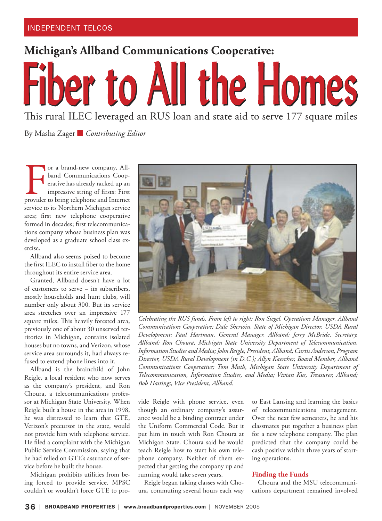**Michigan's Allband Communications Cooperative:**

# **Fiber to All the Homes** This rural ILEC leveraged an RUS loan and state aid to serve 177 square miles

By Masha Zager ■ *Contributing Editor*

For a brand-new company, All-<br>band Communications Coop-<br>erative has already racked up an<br>impressive string of firsts: First<br>provider to bring telephone and Internet or a brand-new company, Allband Communications Cooperative has already racked up an impressive string of firsts: First service to its Northern Michigan service area; first new telephone cooperative formed in decades; first telecommunications company whose business plan was developed as a graduate school class exercise.

Allband also seems poised to become the first ILEC to install fiber to the home throughout its entire service area.

Granted, Allband doesn't have a lot of customers to serve – its subscribers, mostly households and hunt clubs, will number only about 300. But its service area stretches over an impressive 177 square miles. This heavily forested area, previously one of about 30 unserved territories in Michigan, contains isolated houses but no towns, and Verizon, whose service area surrounds it, had always refused to extend phone lines into it.

Allband is the brainchild of John Reigle, a local resident who now serves as the company's president, and Ron Choura, a telecommunications professor at Michigan State University. When Reigle built a house in the area in 1998, he was distressed to learn that GTE, Verizon's precursor in the state, would not provide him with telephone service. He filed a complaint with the Michigan Public Service Commission, saying that he had relied on GTE's assurance of service before he built the house.

Michigan prohibits utilities from being forced to provide service. MPSC couldn't or wouldn't force GTE to pro-



*Celebrating the RUS funds. From left to right: Ron Siegel, Operations Manager, Allband Communications Cooperative; Dale Sherwin, State of Michigan Director, USDA Rural Development; Paul Hartman, General Manager, Allband; Jerry McBride, Secretary, Allband; Ron Choura, Michigan State University Department of Telecommunication, Information Studies and Media; John Reigle, President, Allband; Curtis Anderson, Program Director, USDA Rural Development (in D.C.); Allyn Kaercher, Board Member, Allband Communications Cooperative; Tom Muth, Michigan State University Department of Telecommunication, Information Studies, and Media; Vivian Kus, Treasurer, Allband; Bob Hastings, Vice President, Allband.*

vide Reigle with phone service, even though an ordinary company's assurance would be a binding contract under the Uniform Commercial Code. But it put him in touch with Ron Choura at Michigan State. Choura said he would teach Reigle how to start his own telephone company. Neither of them expected that getting the company up and running would take seven years.

Reigle began taking classes with Choura, commuting several hours each way to East Lansing and learning the basics of telecommunications management. Over the next few semesters, he and his classmates put together a business plan for a new telephone company. The plan predicted that the company could be cash positive within three years of starting operations.

### **Finding the Funds**

Choura and the MSU telecommunications department remained involved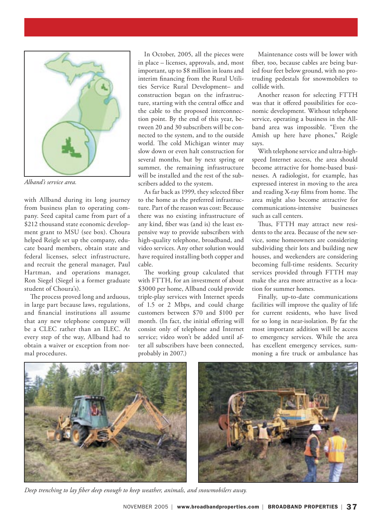

*Alband's service area.*

with Allband during its long journey from business plan to operating company. Seed capital came from part of a \$212 thousand state economic development grant to MSU (see box). Choura helped Reigle set up the company, educate board members, obtain state and federal licenses, select infrastructure, and recruit the general manager, Paul Hartman, and operations manager, Ron Siegel (Siegel is a former graduate student of Choura's).

The process proved long and arduous, in large part because laws, regulations, and financial institutions all assume that any new telephone company will be a CLEC rather than an ILEC. At every step of the way, Allband had to obtain a waiver or exception from normal procedures.

In October, 2005, all the pieces were in place – licenses, approvals, and, most important, up to \$8 million in loans and interim financing from the Rural Utilities Service Rural Development– and construction began on the infrastructure, starting with the central office and the cable to the proposed interconnection point. By the end of this year, between 20 and 30 subscribers will be connected to the system, and to the outside world. The cold Michigan winter may slow down or even halt construction for several months, but by next spring or summer, the remaining infrastructure will be installed and the rest of the subscribers added to the system.

As far back as 1999, they selected fiber to the home as the preferred infrastructure. Part of the reason was cost: Because there was no existing infrastructure of any kind, fiber was (and is) the least expensive way to provide subscribers with high-quality telephone, broadband, and video services. Any other solution would have required installing both copper and cable.

The working group calculated that with FTTH, for an investment of about \$3000 per home, Allband could provide triple-play services with Internet speeds of 1.5 or 2 Mbps, and could charge customers between \$70 and \$100 per month. (In fact, the initial offering will consist only of telephone and Internet service; video won't be added until after all subscribers have been connected, probably in 2007.)

Maintenance costs will be lower with fiber, too, because cables are being buried four feet below ground, with no protruding pedestals for snowmobilers to collide with.

Another reason for selecting FTTH was that it offered possibilities for economic development. Without telephone service, operating a business in the Allband area was impossible. "Even the Amish up here have phones," Reigle says.

With telephone service and ultra-highspeed Internet access, the area should become attractive for home-based businesses. A radiologist, for example, has expressed interest in moving to the area and reading X-ray films from home. The area might also become attractive for communications-intensive businesses such as call centers.

Thus, FTTH may attract new residents to the area. Because of the new service, some homeowners are considering subdividing their lots and building new houses, and weekenders are considering becoming full-time residents. Security services provided through FTTH may make the area more attractive as a location for summer homes.

Finally, up-to-date communications facilities will improve the quality of life for current residents, who have lived for so long in near-isolation. By far the most important addition will be access to emergency services. While the area has excellent emergency services, summoning a fire truck or ambulance has





*Deep trenching to lay fiber deep enough to keep weather, animals, and snowmobilers away.*